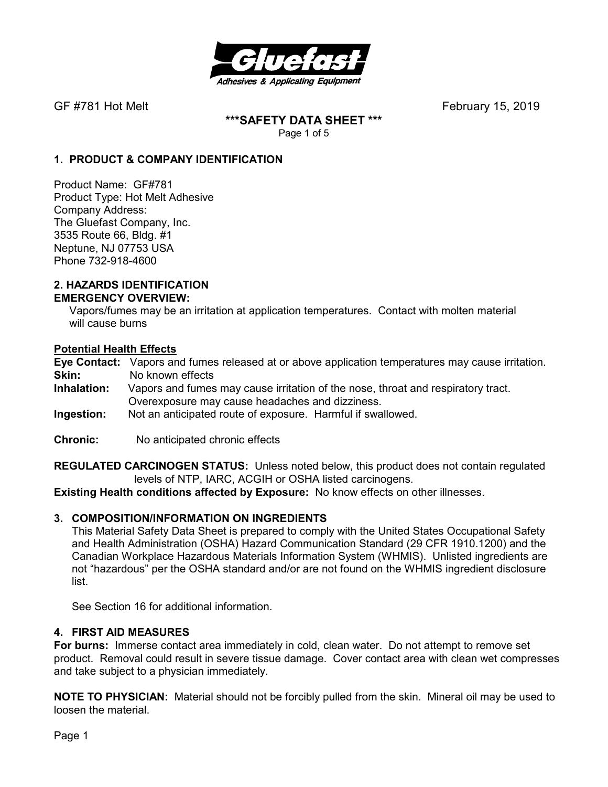

**\*\*\*SAFETY DATA SHEET \*\*\***  Page 1 of 5

## **1. PRODUCT & COMPANY IDENTIFICATION**

Product Name: GF#781 Product Type: Hot Melt Adhesive Company Address: The Gluefast Company, Inc. 3535 Route 66, Bldg. #1 Neptune, NJ 07753 USA Phone 732-918-4600

#### **2. HAZARDS IDENTIFICATION EMERGENCY OVERVIEW:**

 Vapors/fumes may be an irritation at application temperatures. Contact with molten material will cause burns

#### **Potential Health Effects**

**Eye Contact:** Vapors and fumes released at or above application temperatures may cause irritation. **Skin:** No known effects<br>**Inhalation:** Vapors and fumes

- Vapors and fumes may cause irritation of the nose, throat and respiratory tract. Overexposure may cause headaches and dizziness.
- **Ingestion:** Not an anticipated route of exposure. Harmful if swallowed.
- **Chronic:** No anticipated chronic effects

**REGULATED CARCINOGEN STATUS:** Unless noted below, this product does not contain regulated levels of NTP, IARC, ACGIH or OSHA listed carcinogens.

**Existing Health conditions affected by Exposure:** No know effects on other illnesses.

#### **3. COMPOSITION/INFORMATION ON INGREDIENTS**

This Material Safety Data Sheet is prepared to comply with the United States Occupational Safety and Health Administration (OSHA) Hazard Communication Standard (29 CFR 1910.1200) and the Canadian Workplace Hazardous Materials Information System (WHMIS). Unlisted ingredients are not "hazardous" per the OSHA standard and/or are not found on the WHMIS ingredient disclosure list.

See Section 16 for additional information.

#### **4. FIRST AID MEASURES**

**For burns:** Immerse contact area immediately in cold, clean water. Do not attempt to remove set product. Removal could result in severe tissue damage. Cover contact area with clean wet compresses and take subject to a physician immediately.

**NOTE TO PHYSICIAN:** Material should not be forcibly pulled from the skin. Mineral oil may be used to loosen the material.

Page 1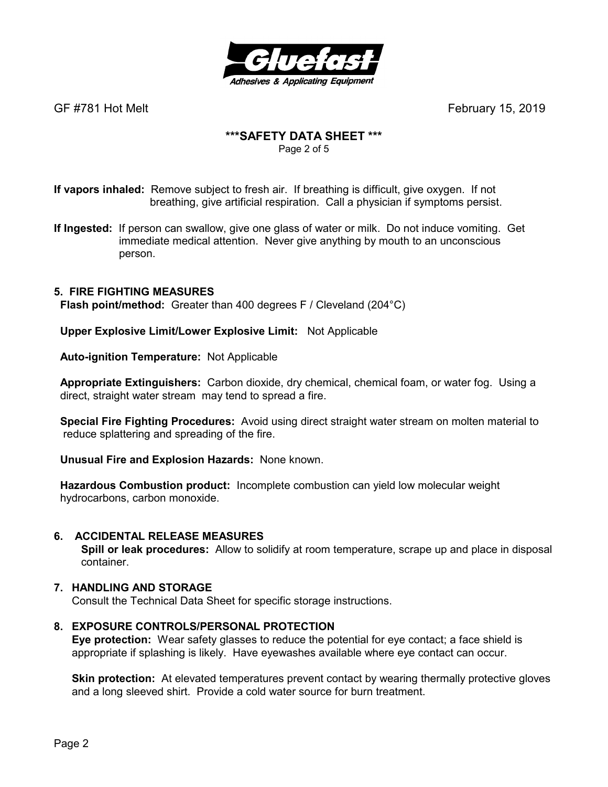

# **\*\*\*SAFETY DATA SHEET \*\*\***

Page 2 of 5

**If vapors inhaled:** Remove subject to fresh air. If breathing is difficult, give oxygen. If not breathing, give artificial respiration. Call a physician if symptoms persist.

**If Ingested:** If person can swallow, give one glass of water or milk. Do not induce vomiting. Get immediate medical attention. Never give anything by mouth to an unconscious person.

# **5. FIRE FIGHTING MEASURES**

 **Flash point/method:** Greater than 400 degrees F / Cleveland (204°C)

 **Upper Explosive Limit/Lower Explosive Limit:** Not Applicable

 **Auto-ignition Temperature:** Not Applicable

 **Appropriate Extinguishers:** Carbon dioxide, dry chemical, chemical foam, or water fog. Using a direct, straight water stream may tend to spread a fire.

 **Special Fire Fighting Procedures:** Avoid using direct straight water stream on molten material to reduce splattering and spreading of the fire.

 **Unusual Fire and Explosion Hazards:** None known.

 **Hazardous Combustion product:** Incomplete combustion can yield low molecular weight hydrocarbons, carbon monoxide.

#### **6. ACCIDENTAL RELEASE MEASURES**

 **Spill or leak procedures:** Allow to solidify at room temperature, scrape up and place in disposal container.

#### **7. HANDLING AND STORAGE**

Consult the Technical Data Sheet for specific storage instructions.

#### **8. EXPOSURE CONTROLS/PERSONAL PROTECTION**

**Eye protection:** Wear safety glasses to reduce the potential for eye contact; a face shield is appropriate if splashing is likely. Have eyewashes available where eye contact can occur.

**Skin protection:** At elevated temperatures prevent contact by wearing thermally protective gloves and a long sleeved shirt. Provide a cold water source for burn treatment.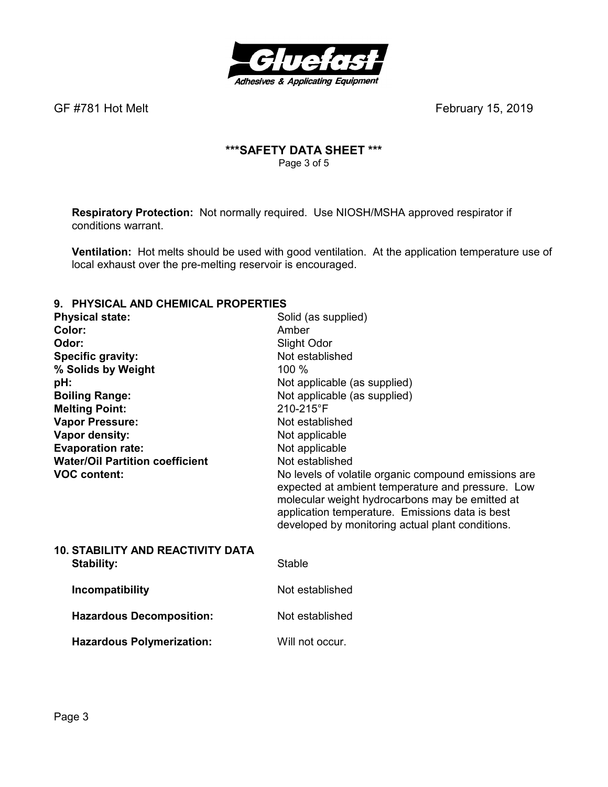

# **\*\*\*SAFETY DATA SHEET \*\*\***  Page 3 of 5

**Respiratory Protection:** Not normally required.Use NIOSH/MSHA approved respirator if conditions warrant.

**Ventilation:** Hot melts should be used with good ventilation. At the application temperature use of local exhaust over the pre-melting reservoir is encouraged.

#### **9. PHYSICAL AND CHEMICAL PROPERTIES**

| <b>Physical state:</b>                                                                                                                                                                                                                                       | Solid (as supplied)                                                                                                                                                                                                                                                                                                                                                                                                        |
|--------------------------------------------------------------------------------------------------------------------------------------------------------------------------------------------------------------------------------------------------------------|----------------------------------------------------------------------------------------------------------------------------------------------------------------------------------------------------------------------------------------------------------------------------------------------------------------------------------------------------------------------------------------------------------------------------|
| Color:<br>Odor:<br>Specific gravity:<br>% Solids by Weight<br>pH:<br><b>Boiling Range:</b><br><b>Melting Point:</b><br><b>Vapor Pressure:</b><br>Vapor density:<br><b>Evaporation rate:</b><br><b>Water/Oil Partition coefficient</b><br><b>VOC content:</b> | Amber<br>Slight Odor<br>Not established<br>100 %<br>Not applicable (as supplied)<br>Not applicable (as supplied)<br>210-215°F<br>Not established<br>Not applicable<br>Not applicable<br>Not established<br>No levels of volatile organic compound emissions are<br>expected at ambient temperature and pressure. Low<br>molecular weight hydrocarbons may be emitted at<br>application temperature. Emissions data is best |
| <b>10. STABILITY AND REACTIVITY DATA</b>                                                                                                                                                                                                                     | developed by monitoring actual plant conditions.                                                                                                                                                                                                                                                                                                                                                                           |
| <b>Stability:</b>                                                                                                                                                                                                                                            | <b>Stable</b>                                                                                                                                                                                                                                                                                                                                                                                                              |
| Incompatibility                                                                                                                                                                                                                                              | Not established                                                                                                                                                                                                                                                                                                                                                                                                            |
| <b>Hazardous Decomposition:</b>                                                                                                                                                                                                                              | Not established                                                                                                                                                                                                                                                                                                                                                                                                            |
| <b>Hazardous Polymerization:</b>                                                                                                                                                                                                                             | Will not occur.                                                                                                                                                                                                                                                                                                                                                                                                            |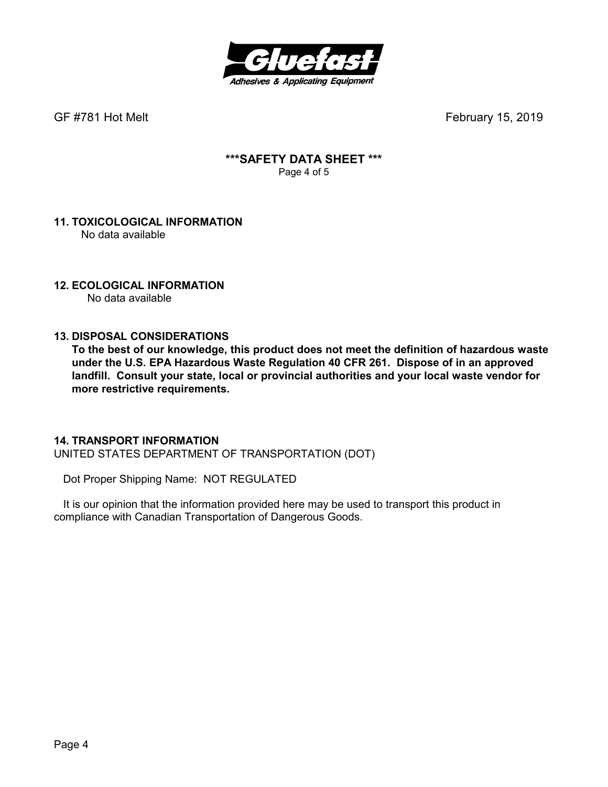

# **\*\*\*SAFETY DATA SHEET \*\*\***  Page 4 of 5

#### **11. TOXICOLOGICAL INFORMATION**  No data available

# **12. ECOLOGICAL INFORMATION**

No data available

# **13. DISPOSAL CONSIDERATIONS**

**To the best of our knowledge, this product does not meet the definition of hazardous waste under the U.S. EPA Hazardous Waste Regulation 40 CFR 261. Dispose of in an approved landfill. Consult your state, local or provincial authorities and your local waste vendor for more restrictive requirements.** 

#### **14. TRANSPORT INFORMATION**

UNITED STATES DEPARTMENT OF TRANSPORTATION (DOT)

Dot Proper Shipping Name: NOT REGULATED

 It is our opinion that the information provided here may be used to transport this product in compliance with Canadian Transportation of Dangerous Goods.